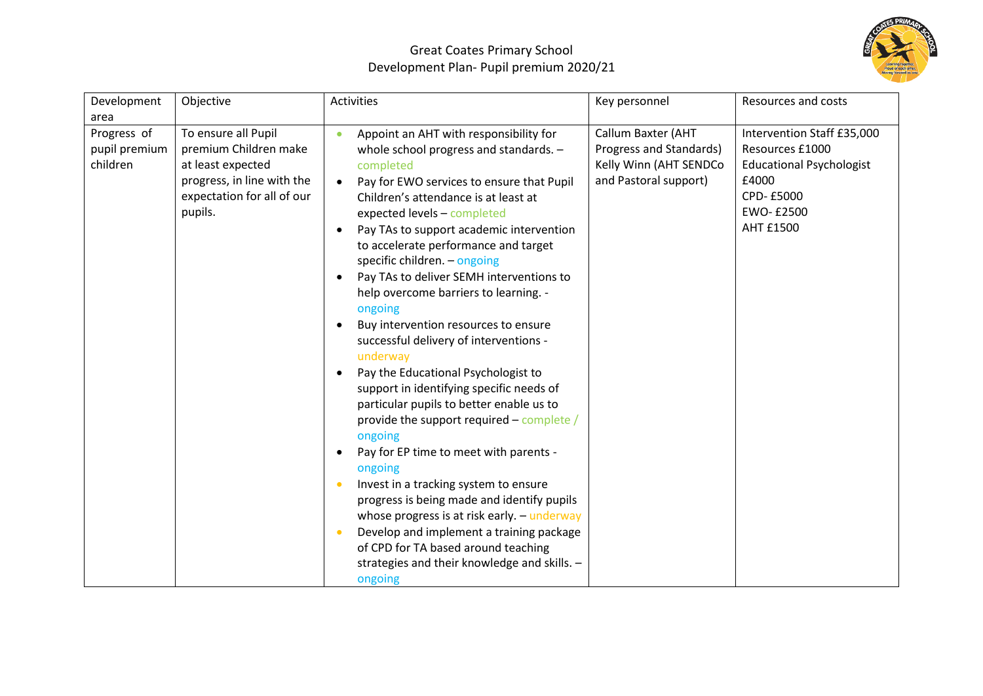

## Great Coates Primary School Development Plan- Pupil premium 2020/21

| Development                              | Objective                                                                                                                                | Activities                                                                                                                                                                                                                                                                                                                                                                                                                                                                                                                                                                                                                                                                                                                                                                                                                                                                                                                                                                                                                                                                                    | Key personnel                                                                                           | <b>Resources and costs</b>                                                                                                               |
|------------------------------------------|------------------------------------------------------------------------------------------------------------------------------------------|-----------------------------------------------------------------------------------------------------------------------------------------------------------------------------------------------------------------------------------------------------------------------------------------------------------------------------------------------------------------------------------------------------------------------------------------------------------------------------------------------------------------------------------------------------------------------------------------------------------------------------------------------------------------------------------------------------------------------------------------------------------------------------------------------------------------------------------------------------------------------------------------------------------------------------------------------------------------------------------------------------------------------------------------------------------------------------------------------|---------------------------------------------------------------------------------------------------------|------------------------------------------------------------------------------------------------------------------------------------------|
| area                                     |                                                                                                                                          |                                                                                                                                                                                                                                                                                                                                                                                                                                                                                                                                                                                                                                                                                                                                                                                                                                                                                                                                                                                                                                                                                               |                                                                                                         |                                                                                                                                          |
| Progress of<br>pupil premium<br>children | To ensure all Pupil<br>premium Children make<br>at least expected<br>progress, in line with the<br>expectation for all of our<br>pupils. | Appoint an AHT with responsibility for<br>whole school progress and standards. -<br>completed<br>Pay for EWO services to ensure that Pupil<br>$\bullet$<br>Children's attendance is at least at<br>expected levels - completed<br>Pay TAs to support academic intervention<br>to accelerate performance and target<br>specific children. - ongoing<br>Pay TAs to deliver SEMH interventions to<br>$\bullet$<br>help overcome barriers to learning. -<br>ongoing<br>Buy intervention resources to ensure<br>successful delivery of interventions -<br>underway<br>Pay the Educational Psychologist to<br>support in identifying specific needs of<br>particular pupils to better enable us to<br>provide the support required – complete /<br>ongoing<br>Pay for EP time to meet with parents -<br>ongoing<br>Invest in a tracking system to ensure<br>progress is being made and identify pupils<br>whose progress is at risk early. - underway<br>Develop and implement a training package<br>of CPD for TA based around teaching<br>strategies and their knowledge and skills. -<br>ongoing | <b>Callum Baxter (AHT</b><br>Progress and Standards)<br>Kelly Winn (AHT SENDCo<br>and Pastoral support) | Intervention Staff £35,000<br>Resources £1000<br><b>Educational Psychologist</b><br>£4000<br>CPD-£5000<br>EWO- £2500<br><b>AHT £1500</b> |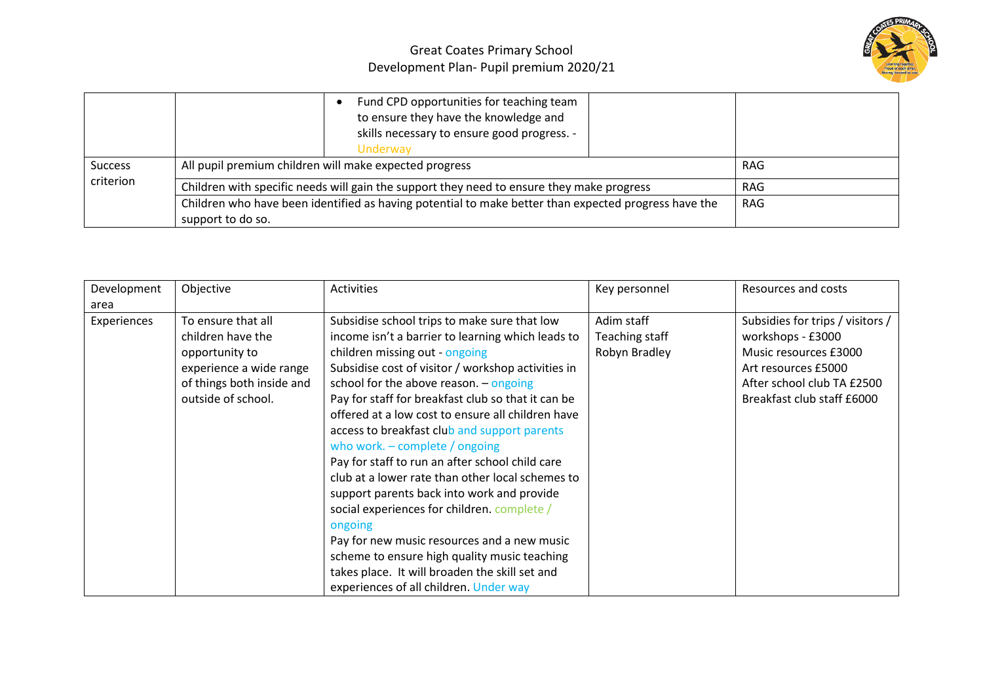## Great Coates Primary School Development Plan- Pupil premium 2020/21



|                             | Fund CPD opportunities for teaching team<br>to ensure they have the knowledge and<br>skills necessary to ensure good progress. -<br>Underway |  |            |
|-----------------------------|----------------------------------------------------------------------------------------------------------------------------------------------|--|------------|
| <b>Success</b><br>criterion | All pupil premium children will make expected progress                                                                                       |  | <b>RAG</b> |
|                             | Children with specific needs will gain the support they need to ensure they make progress                                                    |  | <b>RAG</b> |
|                             | Children who have been identified as having potential to make better than expected progress have the                                         |  | RAG        |
|                             | support to do so.                                                                                                                            |  |            |

| Development | Objective                 | <b>Activities</b>                                  | Key personnel  | Resources and costs              |
|-------------|---------------------------|----------------------------------------------------|----------------|----------------------------------|
| area        |                           |                                                    |                |                                  |
| Experiences | To ensure that all        | Subsidise school trips to make sure that low       | Adim staff     | Subsidies for trips / visitors / |
|             | children have the         | income isn't a barrier to learning which leads to  | Teaching staff | workshops - £3000                |
|             | opportunity to            | children missing out - ongoing                     | Robyn Bradley  | Music resources £3000            |
|             | experience a wide range   | Subsidise cost of visitor / workshop activities in |                | Art resources £5000              |
|             | of things both inside and | school for the above reason. $-$ ongoing           |                | After school club TA £2500       |
|             | outside of school.        | Pay for staff for breakfast club so that it can be |                | Breakfast club staff £6000       |
|             |                           | offered at a low cost to ensure all children have  |                |                                  |
|             |                           | access to breakfast club and support parents       |                |                                  |
|             |                           | who work. $-$ complete / ongoing                   |                |                                  |
|             |                           | Pay for staff to run an after school child care    |                |                                  |
|             |                           | club at a lower rate than other local schemes to   |                |                                  |
|             |                           | support parents back into work and provide         |                |                                  |
|             |                           | social experiences for children. complete /        |                |                                  |
|             |                           | ongoing                                            |                |                                  |
|             |                           | Pay for new music resources and a new music        |                |                                  |
|             |                           | scheme to ensure high quality music teaching       |                |                                  |
|             |                           | takes place. It will broaden the skill set and     |                |                                  |
|             |                           | experiences of all children. Under way             |                |                                  |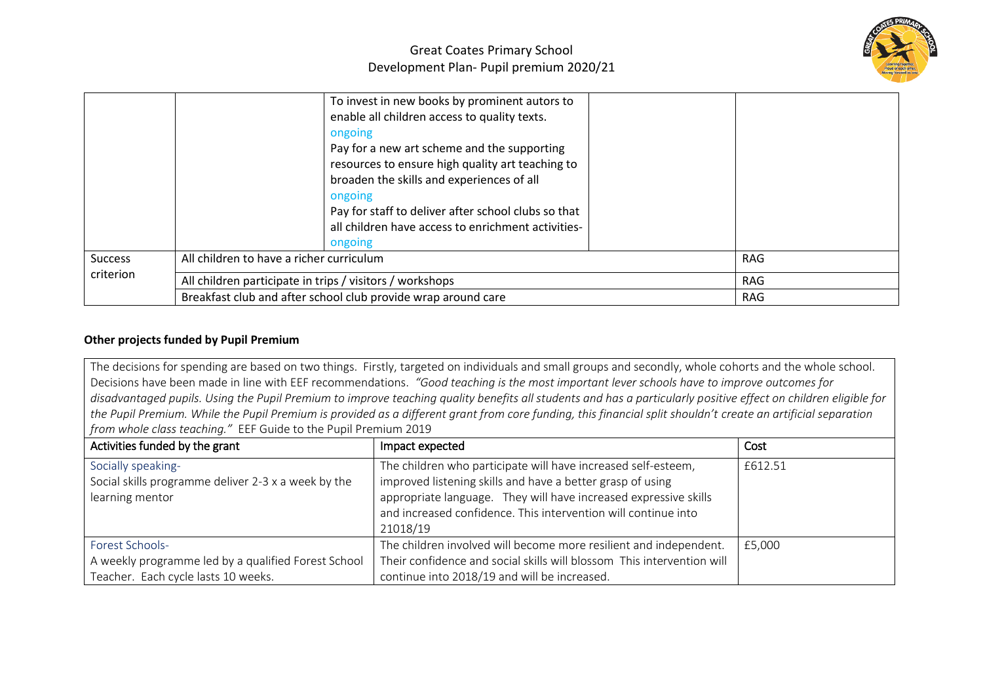

|                             | To invest in new books by prominent autors to<br>enable all children access to quality texts.<br>ongoing<br>Pay for a new art scheme and the supporting<br>resources to ensure high quality art teaching to<br>broaden the skills and experiences of all<br>ongoing<br>Pay for staff to deliver after school clubs so that<br>all children have access to enrichment activities-<br>ongoing |     |
|-----------------------------|---------------------------------------------------------------------------------------------------------------------------------------------------------------------------------------------------------------------------------------------------------------------------------------------------------------------------------------------------------------------------------------------|-----|
| <b>Success</b><br>criterion | All children to have a richer curriculum                                                                                                                                                                                                                                                                                                                                                    | RAG |
|                             | All children participate in trips / visitors / workshops                                                                                                                                                                                                                                                                                                                                    | RAG |
|                             | Breakfast club and after school club provide wrap around care                                                                                                                                                                                                                                                                                                                               | RAG |

## **Other projects funded by Pupil Premium**

The decisions for spending are based on two things. Firstly, targeted on individuals and small groups and secondly, whole cohorts and the whole school. Decisions have been made in line with EEF recommendations. *"Good teaching is the most important lever schools have to improve outcomes for disadvantaged pupils. Using the Pupil Premium to improve teaching quality benefits all students and has a particularly positive effect on children eligible for the Pupil Premium. While the Pupil Premium is provided as a different grant from core funding, this financial split shouldn't create an artificial separation from whole class teaching."* EEF Guide to the Pupil Premium 2019

| Activities funded by the grant                                                                                       | Impact expected                                                                                                                                                                                                                                                               | Cost    |
|----------------------------------------------------------------------------------------------------------------------|-------------------------------------------------------------------------------------------------------------------------------------------------------------------------------------------------------------------------------------------------------------------------------|---------|
| Socially speaking-<br>Social skills programme deliver 2-3 x a week by the<br>learning mentor                         | The children who participate will have increased self-esteem,<br>improved listening skills and have a better grasp of using<br>appropriate language. They will have increased expressive skills<br>and increased confidence. This intervention will continue into<br>21018/19 | £612.51 |
| <b>Forest Schools-</b><br>A weekly programme led by a qualified Forest School<br>Teacher. Each cycle lasts 10 weeks. | The children involved will become more resilient and independent.<br>Their confidence and social skills will blossom This intervention will<br>continue into 2018/19 and will be increased.                                                                                   | £5,000  |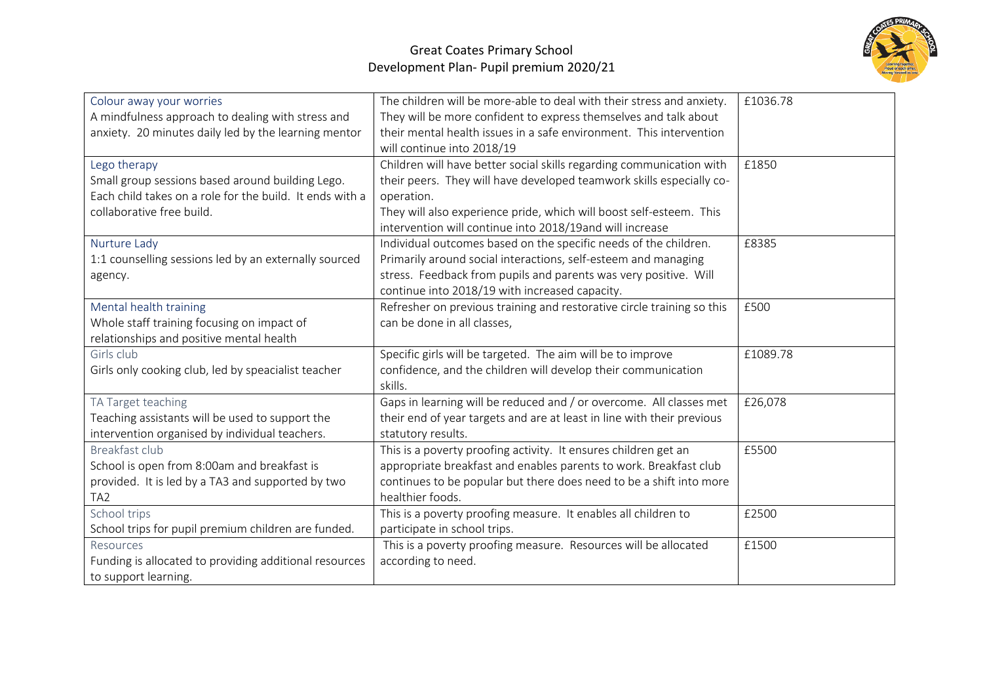

| Colour away your worries<br>A mindfulness approach to dealing with stress and<br>anxiety. 20 minutes daily led by the learning mentor<br>Lego therapy<br>Small group sessions based around building Lego.<br>Each child takes on a role for the build. It ends with a<br>collaborative free build. | The children will be more-able to deal with their stress and anxiety.<br>They will be more confident to express themselves and talk about<br>their mental health issues in a safe environment. This intervention<br>will continue into 2018/19<br>Children will have better social skills regarding communication with<br>their peers. They will have developed teamwork skills especially co-<br>operation.<br>They will also experience pride, which will boost self-esteem. This | £1036.78<br>£1850 |
|----------------------------------------------------------------------------------------------------------------------------------------------------------------------------------------------------------------------------------------------------------------------------------------------------|-------------------------------------------------------------------------------------------------------------------------------------------------------------------------------------------------------------------------------------------------------------------------------------------------------------------------------------------------------------------------------------------------------------------------------------------------------------------------------------|-------------------|
| Nurture Lady<br>1:1 counselling sessions led by an externally sourced<br>agency.                                                                                                                                                                                                                   | intervention will continue into 2018/19and will increase<br>Individual outcomes based on the specific needs of the children.<br>Primarily around social interactions, self-esteem and managing<br>stress. Feedback from pupils and parents was very positive. Will<br>continue into 2018/19 with increased capacity.                                                                                                                                                                | £8385             |
| Mental health training<br>Whole staff training focusing on impact of<br>relationships and positive mental health                                                                                                                                                                                   | Refresher on previous training and restorative circle training so this<br>can be done in all classes,                                                                                                                                                                                                                                                                                                                                                                               | £500              |
| Girls club<br>Girls only cooking club, led by speacialist teacher                                                                                                                                                                                                                                  | Specific girls will be targeted. The aim will be to improve<br>confidence, and the children will develop their communication<br>skills.                                                                                                                                                                                                                                                                                                                                             | £1089.78          |
| TA Target teaching<br>Teaching assistants will be used to support the<br>intervention organised by individual teachers.                                                                                                                                                                            | Gaps in learning will be reduced and / or overcome. All classes met<br>their end of year targets and are at least in line with their previous<br>statutory results.                                                                                                                                                                                                                                                                                                                 | £26,078           |
| Breakfast club<br>School is open from 8:00am and breakfast is<br>provided. It is led by a TA3 and supported by two<br>TA <sub>2</sub>                                                                                                                                                              | This is a poverty proofing activity. It ensures children get an<br>appropriate breakfast and enables parents to work. Breakfast club<br>continues to be popular but there does need to be a shift into more<br>healthier foods.                                                                                                                                                                                                                                                     | £5500             |
| School trips<br>School trips for pupil premium children are funded.                                                                                                                                                                                                                                | This is a poverty proofing measure. It enables all children to<br>participate in school trips.                                                                                                                                                                                                                                                                                                                                                                                      | £2500             |
| Resources<br>Funding is allocated to providing additional resources<br>to support learning.                                                                                                                                                                                                        | This is a poverty proofing measure. Resources will be allocated<br>according to need.                                                                                                                                                                                                                                                                                                                                                                                               | £1500             |